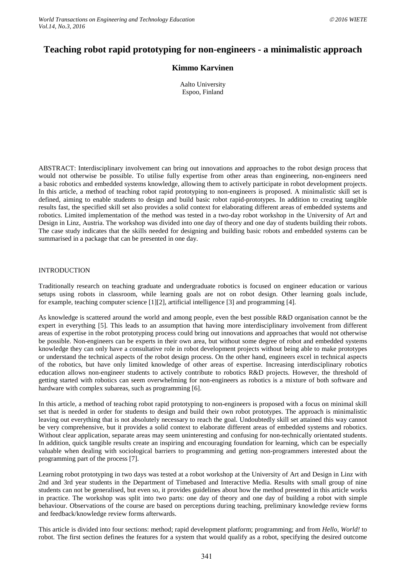# **Teaching robot rapid prototyping for non-engineers - a minimalistic approach**

# **Kimmo Karvinen**

Aalto University Espoo, Finland

ABSTRACT: Interdisciplinary involvement can bring out innovations and approaches to the robot design process that would not otherwise be possible. To utilise fully expertise from other areas than engineering, non-engineers need a basic robotics and embedded systems knowledge, allowing them to actively participate in robot development projects. In this article, a method of teaching robot rapid prototyping to non-engineers is proposed. A minimalistic skill set is defined, aiming to enable students to design and build basic robot rapid-prototypes. In addition to creating tangible results fast, the specified skill set also provides a solid context for elaborating different areas of embedded systems and robotics. Limited implementation of the method was tested in a two-day robot workshop in the University of Art and Design in Linz, Austria. The workshop was divided into one day of theory and one day of students building their robots. The case study indicates that the skills needed for designing and building basic robots and embedded systems can be summarised in a package that can be presented in one day.

#### INTRODUCTION

Traditionally research on teaching graduate and undergraduate robotics is focused on engineer education or various setups using robots in classroom, while learning goals are not on robot design. Other learning goals include, for example, teaching computer science [1][2], artificial intelligence [3] and programming [4].

As knowledge is scattered around the world and among people, even the best possible R&D organisation cannot be the expert in everything [5]. This leads to an assumption that having more interdisciplinary involvement from different areas of expertise in the robot prototyping process could bring out innovations and approaches that would not otherwise be possible. Non-engineers can be experts in their own area, but without some degree of robot and embedded systems knowledge they can only have a consultative role in robot development projects without being able to make prototypes or understand the technical aspects of the robot design process. On the other hand, engineers excel in technical aspects of the robotics, but have only limited knowledge of other areas of expertise. Increasing interdisciplinary robotics education allows non-engineer students to actively contribute to robotics R&D projects. However, the threshold of getting started with robotics can seem overwhelming for non-engineers as robotics is a mixture of both software and hardware with complex subareas, such as programming [6].

In this article, a method of teaching robot rapid prototyping to non-engineers is proposed with a focus on minimal skill set that is needed in order for students to design and build their own robot prototypes. The approach is minimalistic leaving out everything that is not absolutely necessary to reach the goal. Undoubtedly skill set attained this way cannot be very comprehensive, but it provides a solid context to elaborate different areas of embedded systems and robotics. Without clear application, separate areas may seem uninteresting and confusing for non-technically orientated students. In addition, quick tangible results create an inspiring and encouraging foundation for learning, which can be especially valuable when dealing with sociological barriers to programming and getting non-programmers interested about the programming part of the process [7].

Learning robot prototyping in two days was tested at a robot workshop at the University of Art and Design in Linz with 2nd and 3rd year students in the Department of Timebased and Interactive Media. Results with small group of nine students can not be generalised, but even so, it provides guidelines about how the method presented in this article works in practice. The workshop was split into two parts: one day of theory and one day of building a robot with simple behaviour. Observations of the course are based on perceptions during teaching, preliminary knowledge review forms and feedback/knowledge review forms afterwards.

This article is divided into four sections: method; rapid development platform; programming; and from *Hello, World!* to robot. The first section defines the features for a system that would qualify as a robot, specifying the desired outcome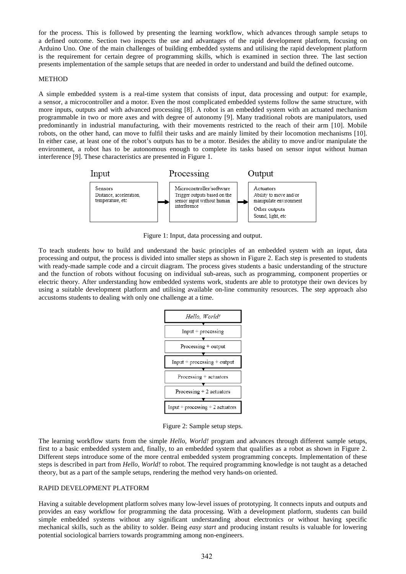for the process. This is followed by presenting the learning workflow, which advances through sample setups to a defined outcome. Section two inspects the use and advantages of the rapid development platform, focusing on Arduino Uno. One of the main challenges of building embedded systems and utilising the rapid development platform is the requirement for certain degree of programming skills, which is examined in section three. The last section presents implementation of the sample setups that are needed in order to understand and build the defined outcome.

#### **METHOD**

A simple embedded system is a real-time system that consists of input, data processing and output: for example, a sensor, a microcontroller and a motor. Even the most complicated embedded systems follow the same structure, with more inputs, outputs and with advanced processing [8]. A robot is an embedded system with an actuated mechanism programmable in two or more axes and with degree of autonomy [9]. Many traditional robots are manipulators, used predominantly in industrial manufacturing, with their movements restricted to the reach of their arm [10]. Mobile robots, on the other hand, can move to fulfil their tasks and are mainly limited by their locomotion mechanisms [10]. In either case, at least one of the robot's outputs has to be a motor. Besides the ability to move and/or manipulate the environment, a robot has to be autonomous enough to complete its tasks based on sensor input without human interference [9]. These characteristics are presented in Figure 1.



Figure 1: Input, data processing and output.

To teach students how to build and understand the basic principles of an embedded system with an input, data processing and output, the process is divided into smaller steps as shown in Figure 2. Each step is presented to students with ready-made sample code and a circuit diagram. The process gives students a basic understanding of the structure and the function of robots without focusing on individual sub-areas, such as programming, component properties or electric theory. After understanding how embedded systems work, students are able to prototype their own devices by using a suitable development platform and utilising available on-line community resources. The step approach also accustoms students to dealing with only one challenge at a time.

| Hello, World!                    |
|----------------------------------|
| Input $+$ processing             |
| Processing + output              |
| $Input + processing + output$    |
| $Processing + actuators$         |
| Processing $+2$ actuators        |
| Input + processing + 2 actuators |

Figure 2: Sample setup steps.

The learning workflow starts from the simple *Hello, World!* program and advances through different sample setups, first to a basic embedded system and, finally, to an embedded system that qualifies as a robot as shown in Figure 2. Different steps introduce some of the more central embedded system programming concepts. Implementation of these steps is described in part from *Hello, World!* to robot. The required programming knowledge is not taught as a detached theory, but as a part of the sample setups, rendering the method very hands-on oriented.

#### RAPID DEVELOPMENT PLATFORM

Having a suitable development platform solves many low-level issues of prototyping. It connects inputs and outputs and provides an easy workflow for programming the data processing. With a development platform, students can build simple embedded systems without any significant understanding about electronics or without having specific mechanical skills, such as the ability to solder. Being *easy start* and producing instant results is valuable for lowering potential sociological barriers towards programming among non-engineers.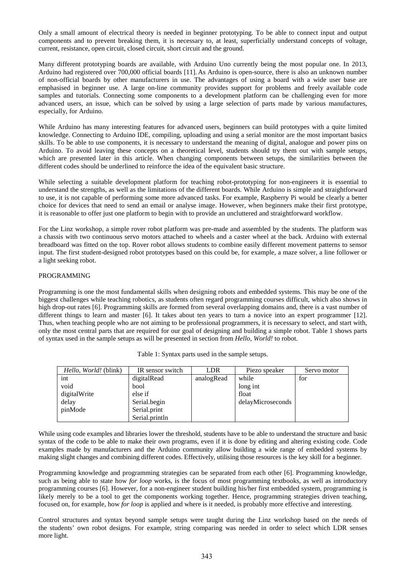Only a small amount of electrical theory is needed in beginner prototyping. To be able to connect input and output components and to prevent breaking them, it is necessary to, at least, superficially understand concepts of voltage, current, resistance, open circuit, closed circuit, short circuit and the ground.

Many different prototyping boards are available, with Arduino Uno currently being the most popular one. In 2013, Arduino had registered over 700,000 official boards [11]. As Arduino is open-source, there is also an unknown number of non-official boards by other manufacturers in use. The advantages of using a board with a wide user base are emphasised in beginner use. A large on-line community provides support for problems and freely available code samples and tutorials. Connecting some components to a development platform can be challenging even for more advanced users, an issue, which can be solved by using a large selection of parts made by various manufactures, especially, for Arduino.

While Arduino has many interesting features for advanced users, beginners can build prototypes with a quite limited knowledge. Connecting to Arduino IDE, compiling, uploading and using a serial monitor are the most important basics skills. To be able to use components, it is necessary to understand the meaning of digital, analogue and power pins on Arduino. To avoid leaving these concepts on a theoretical level, students should try them out with sample setups, which are presented later in this article. When changing components between setups, the similarities between the different codes should be underlined to reinforce the idea of the equivalent basic structure.

While selecting a suitable development platform for teaching robot-prototyping for non-engineers it is essential to understand the strengths, as well as the limitations of the different boards. While Arduino is simple and straightforward to use, it is not capable of performing some more advanced tasks. For example, Raspberry Pi would be clearly a better choice for devices that need to send an email or analyse image. However, when beginners make their first prototype, it is reasonable to offer just one platform to begin with to provide an uncluttered and straightforward workflow.

For the Linz workshop, a simple rover robot platform was pre-made and assembled by the students. The platform was a chassis with two continuous servo motors attached to wheels and a caster wheel at the back. Arduino with external breadboard was fitted on the top. Rover robot allows students to combine easily different movement patterns to sensor input. The first student-designed robot prototypes based on this could be, for example, a maze solver, a line follower or a light seeking robot.

## PROGRAMMING

Programming is one the most fundamental skills when designing robots and embedded systems. This may be one of the biggest challenges while teaching robotics, as students often regard programming courses difficult, which also shows in high drop-out rates [6]. Programming skills are formed from several overlapping domains and, there is a vast number of different things to learn and master [6]. It takes about ten years to turn a novice into an expert programmer [12]. Thus, when teaching people who are not aiming to be professional programmers, it is necessary to select, and start with, only the most central parts that are required for our goal of designing and building a simple robot. Table 1 shows parts of syntax used in the sample setups as will be presented in section from *Hello, World!* to robot.

| <i>Hello, World!</i> (blink) | IR sensor switch | LDR        | Piezo speaker     | Servo motor |
|------------------------------|------------------|------------|-------------------|-------------|
| int                          | digitalRead      | analogRead | while             | for         |
| void                         | bool             |            | long int          |             |
| digitalWrite                 | else if          |            | float             |             |
| delay                        | Serial.begin     |            | delayMicroseconds |             |
| pinMode                      | Serial.print     |            |                   |             |
|                              | Serial.println   |            |                   |             |

| Table 1: Syntax parts used in the sample setups. |  |  |  |  |  |  |  |
|--------------------------------------------------|--|--|--|--|--|--|--|
|--------------------------------------------------|--|--|--|--|--|--|--|

While using code examples and libraries lower the threshold, students have to be able to understand the structure and basic syntax of the code to be able to make their own programs, even if it is done by editing and altering existing code. Code examples made by manufacturers and the Arduino community allow building a wide range of embedded systems by making slight changes and combining different codes. Effectively, utilising those resources is the key skill for a beginner.

Programming knowledge and programming strategies can be separated from each other [6]. Programming knowledge, such as being able to state how *for loop* works, is the focus of most programming textbooks, as well as introductory programming courses [6]. However, for a non-engineer student building his/her first embedded system, programming is likely merely to be a tool to get the components working together. Hence, programming strategies driven teaching, focused on, for example, how *for loop* is applied and where is it needed, is probably more effective and interesting.

Control structures and syntax beyond sample setups were taught during the Linz workshop based on the needs of the students' own robot designs. For example, string comparing was needed in order to select which LDR senses more light.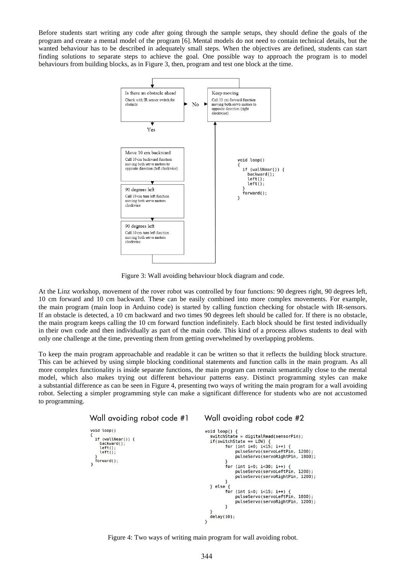Before students start writing any code after going through the sample setups, they should define the goals of the program and create a mental model of the program [6]. Mental models do not need to contain technical details, but the wanted behaviour has to be described in adequately small steps. When the objectives are defined, students can start finding solutions to separate steps to achieve the goal. One possible way to approach the program is to model behaviours from building blocks, as in Figure 3, then, program and test one block at the time.



Figure 3: Wall avoiding behaviour block diagram and code.

At the Linz workshop, movement of the rover robot was controlled by four functions: 90 degrees right, 90 degrees left, 10 cm forward and 10 cm backward. These can be easily combined into more complex movements. For example, the main program (main loop in Arduino code) is started by calling function checking for obstacle with IR-sensors. If an obstacle is detected, a 10 cm backward and two times 90 degrees left should be called for. If there is no obstacle, the main program keeps calling the 10 cm forward function indefinitely. Each block should be first tested individually in their own code and then individually as part of the main code. This kind of a process allows students to deal with only one challenge at the time, preventing them from getting overwhelmed by overlapping problems.

To keep the main program approachable and readable it can be written so that it reflects the building block structure. This can be achieved by using simple blocking conditional statements and function calls in the main program. As all more complex functionality is inside separate functions, the main program can remain semantically close to the mental model, which also makes trying out different behaviour patterns easy. Distinct programming styles can make a substantial difference as can be seen in Figure 4, presenting two ways of writing the main program for a wall avoiding robot. Selecting a simpler programming style can make a significant difference for students who are not accustomed to programming.



Figure 4: Two ways of writing main program for wall avoiding robot.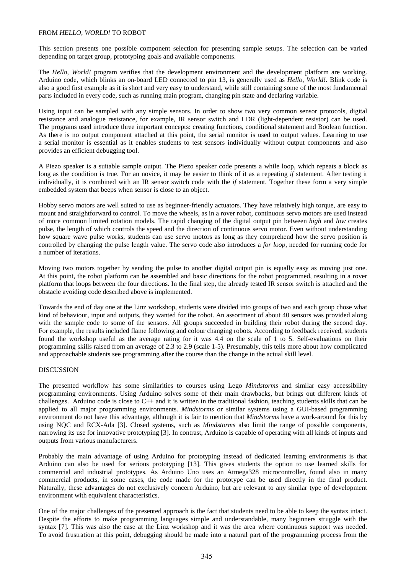#### FROM *HELLO, WORLD!* TO ROBOT

This section presents one possible component selection for presenting sample setups. The selection can be varied depending on target group, prototyping goals and available components.

The *Hello, World!* program verifies that the development environment and the development platform are working. Arduino code, which blinks an on-board LED connected to pin 13, is generally used as *Hello, World!*. Blink code is also a good first example as it is short and very easy to understand, while still containing some of the most fundamental parts included in every code, such as running main program, changing pin state and declaring variable.

Using input can be sampled with any simple sensors. In order to show two very common sensor protocols, digital resistance and analogue resistance, for example, IR sensor switch and LDR (light-dependent resistor) can be used. The programs used introduce three important concepts: creating functions, conditional statement and Boolean function. As there is no output component attached at this point, the serial monitor is used to output values. Learning to use a serial monitor is essential as it enables students to test sensors individually without output components and also provides an efficient debugging tool.

A Piezo speaker is a suitable sample output. The Piezo speaker code presents a while loop, which repeats a block as long as the condition is true. For an novice, it may be easier to think of it as a repeating *if* statement. After testing it individually, it is combined with an IR sensor switch code with the *if* statement. Together these form a very simple embedded system that beeps when sensor is close to an object.

Hobby servo motors are well suited to use as beginner-friendly actuators. They have relatively high torque, are easy to mount and straightforward to control. To move the wheels, as in a rover robot, continuous servo motors are used instead of more common limited rotation models. The rapid changing of the digital output pin between *high* and *low* creates pulse, the length of which controls the speed and the direction of continuous servo motor. Even without understanding how square wave pulse works, students can use servo motors as long as they comprehend how the servo position is controlled by changing the pulse length value. The servo code also introduces a *for loop*, needed for running code for a number of iterations.

Moving two motors together by sending the pulse to another digital output pin is equally easy as moving just one. At this point, the robot platform can be assembled and basic directions for the robot programmed, resulting in a rover platform that loops between the four directions. In the final step, the already tested IR sensor switch is attached and the obstacle avoiding code described above is implemented.

Towards the end of day one at the Linz workshop, students were divided into groups of two and each group chose what kind of behaviour, input and outputs, they wanted for the robot. An assortment of about 40 sensors was provided along with the sample code to some of the sensors. All groups succeeded in building their robot during the second day. For example, the results included flame following and colour changing robots. According to feedback received, students found the workshop useful as the average rating for it was 4.4 on the scale of 1 to 5. Self-evaluations on their programming skills raised from an average of 2.3 to 2.9 (scale 1-5). Presumably, this tells more about how complicated and approachable students see programming after the course than the change in the actual skill level.

#### DISCUSSION

The presented workflow has some similarities to courses using Lego *Mindstorms* and similar easy accessibility programming environments. Using Arduino solves some of their main drawbacks, but brings out different kinds of challenges. Arduino code is close to  $C_{++}$  and it is written in the traditional fashion, teaching students skills that can be applied to all major programming environments. *Mindstorms* or similar systems using a GUI-based programming environment do not have this advantage, although it is fair to mention that *Mindstorms* have a work-around for this by using NQC and RCX-Ada [3]. Closed systems, such as *Mindstorms* also limit the range of possible components, narrowing its use for innovative prototyping [3]. In contrast, Arduino is capable of operating with all kinds of inputs and outputs from various manufacturers.

Probably the main advantage of using Arduino for prototyping instead of dedicated learning environments is that Arduino can also be used for serious prototyping [13]. This gives students the option to use learned skills for commercial and industrial prototypes. As Arduino Uno uses an Atmega328 microcontroller, found also in many commercial products, in some cases, the code made for the prototype can be used directly in the final product. Naturally, these advantages do not exclusively concern Arduino, but are relevant to any similar type of development environment with equivalent characteristics.

One of the major challenges of the presented approach is the fact that students need to be able to keep the syntax intact. Despite the efforts to make programming languages simple and understandable, many beginners struggle with the syntax [7]. This was also the case at the Linz workshop and it was the area where continuous support was needed. To avoid frustration at this point, debugging should be made into a natural part of the programming process from the